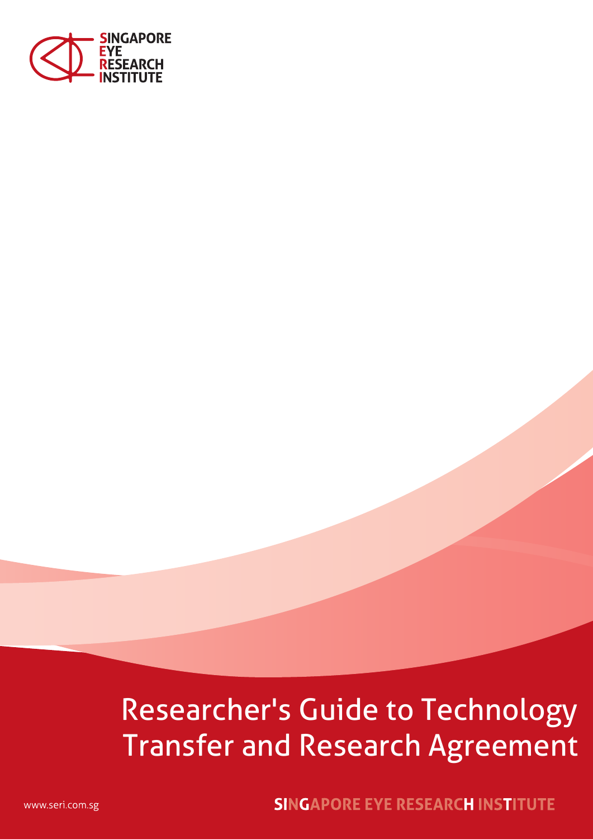

# Researcher's Guide to Technology Transfer and Research Agreement

**SINGAPORE EYE RESEARCH INSTITUTE** 

www.seri.com.sg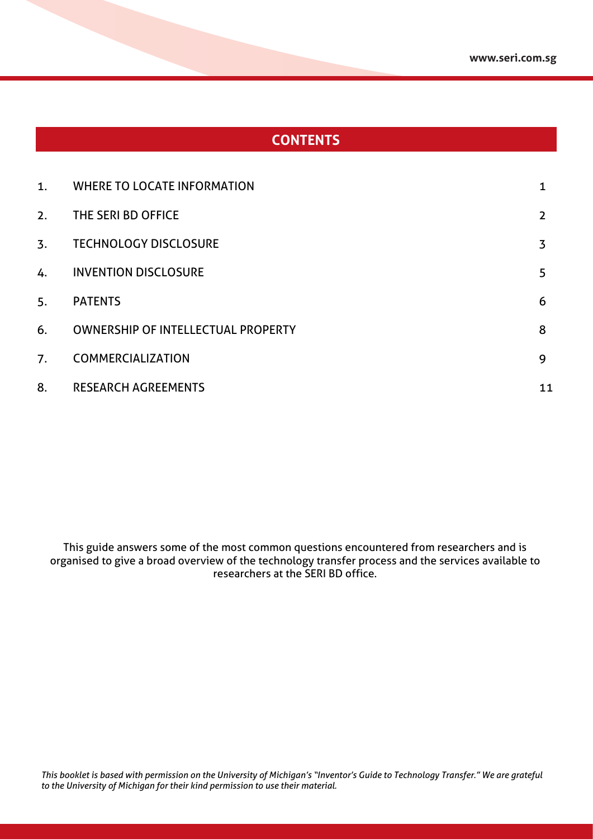### **CONTENTS**

| 1.               | <b>WHERE TO LOCATE INFORMATION</b>        |    |
|------------------|-------------------------------------------|----|
| 2.               | THE SERI BD OFFICE                        | 2  |
| $\overline{3}$ . | <b>TECHNOLOGY DISCLOSURE</b>              | 3  |
| 4.               | <b>INVENTION DISCLOSURE</b>               | 5  |
| 5.               | <b>PATENTS</b>                            | 6  |
| 6.               | <b>OWNERSHIP OF INTELLECTUAL PROPERTY</b> | 8  |
| 7.               | <b>COMMERCIALIZATION</b>                  | 9  |
| 8.               | <b>RESEARCH AGREEMENTS</b>                | 11 |

This guide answers some of the most common questions encountered from researchers and is organised to give a broad overview of the technology transfer process and the services available to researchers at the SERI BD office.

*This booklet is based with permission on the University of Michigan's "Inventor's Guide to Technology Transfer." We are grateful to the University of Michigan for their kind permission to use their material.*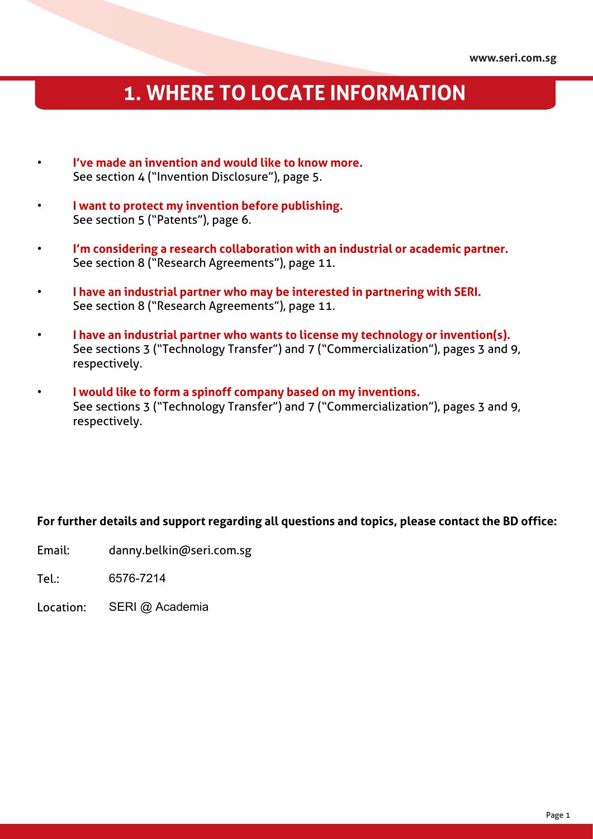## **1. WHERE TO LOCATE INFORMATION**

- **I've made an invention and would like to know more.** See section 4 ("Invention Disclosure"), page 5.
- **I want to protect my invention before publishing.** See section 5 ("Patents"), page 6.
- **I'm considering a research collaboration with an industrial or academic partner.** See section 8 ("Research Agreements"), page 11.
- **I have an industrial partner who may be interested in partnering with SERI.** See section 8 ("Research Agreements"), page 11.
- **I have an industrial partner who wants to license my technology or invention(s).** See sections 3 ("Technology Transfer") and 7 ("Commercialization"), pages 3 and 9, respectively.
- **I would like to form a spinoff company based on my inventions.** See sections 3 ("Technology Transfer") and 7 ("Commercialization"), pages 3 and 9, respectively.

#### **For further details and support regarding all questions and topics, please contact the BD office:**

- Email: danny.belkin@seri.com.sg
- Tel.: 6576-7214
- Location: SERI @ Academia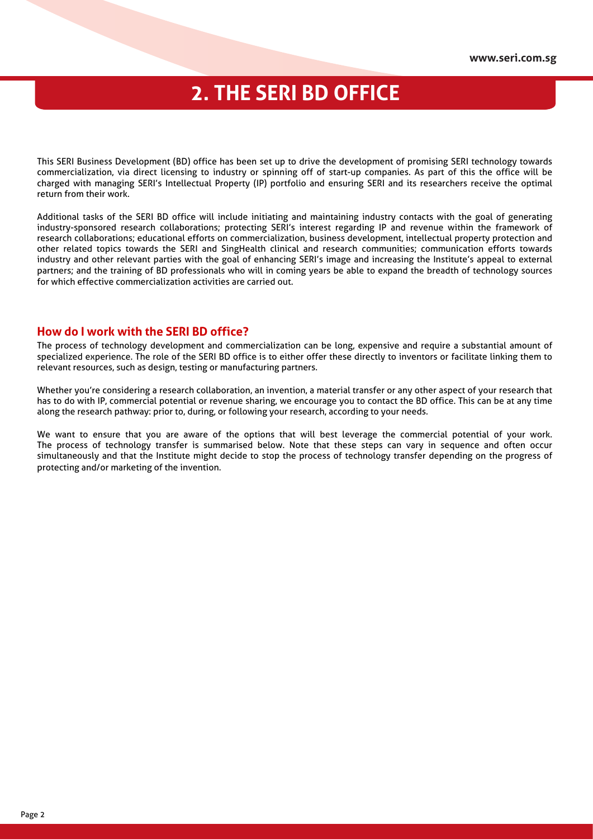### **2. THE SERI BD OFFICE**

This SERI Business Development (BD) office has been set up to drive the development of promising SERI technology towards commercialization, via direct licensing to industry or spinning off of start-up companies. As part of this the office will be charged with managing SERI's Intellectual Property (IP) portfolio and ensuring SERI and its researchers receive the optimal return from their work.

Additional tasks of the SERI BD office will include initiating and maintaining industry contacts with the goal of generating industry-sponsored research collaborations; protecting SERI's interest regarding IP and revenue within the framework of research collaborations; educational efforts on commercialization, business development, intellectual property protection and other related topics towards the SERI and SingHealth clinical and research communities; communication efforts towards industry and other relevant parties with the goal of enhancing SERI's image and increasing the Institute's appeal to external partners; and the training of BD professionals who will in coming years be able to expand the breadth of technology sources for which effective commercialization activities are carried out.

#### **How do I work with the SERI BD office?**

The process of technology development and commercialization can be long, expensive and require a substantial amount of specialized experience. The role of the SERI BD office is to either offer these directly to inventors or facilitate linking them to relevant resources, such as design, testing or manufacturing partners.

Whether you're considering a research collaboration, an invention, a material transfer or any other aspect of your research that has to do with IP, commercial potential or revenue sharing, we encourage you to contact the BD office. This can be at any time along the research pathway: prior to, during, or following your research, according to your needs.

We want to ensure that you are aware of the options that will best leverage the commercial potential of your work. The process of technology transfer is summarised below. Note that these steps can vary in sequence and often occur simultaneously and that the Institute might decide to stop the process of technology transfer depending on the progress of protecting and/or marketing of the invention.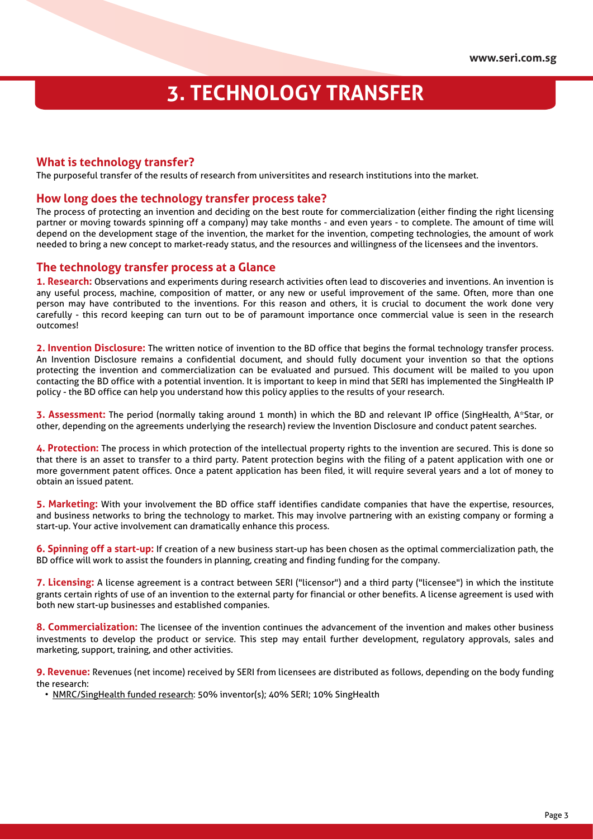## **3. TECHNOLOGY TRANSFER**

#### **What is technology transfer?**

The purposeful transfer of the results of research from universitites and research institutions into the market.

#### **How long does the technology transfer process take?**

The process of protecting an invention and deciding on the best route for commercialization (either finding the right licensing partner or moving towards spinning off a company) may take months - and even years - to complete. The amount of time will depend on the development stage of the invention, the market for the invention, competing technologies, the amount of work needed to bring a new concept to market-ready status, and the resources and willingness of the licensees and the inventors.

#### **The technology transfer process at a Glance**

**1. Research:** Observations and experiments during research activities often lead to discoveries and inventions. An invention is any useful process, machine, composition of matter, or any new or useful improvement of the same. Often, more than one person may have contributed to the inventions. For this reason and others, it is crucial to document the work done very carefully - this record keeping can turn out to be of paramount importance once commercial value is seen in the research outcomes!

**2. Invention Disclosure:** The written notice of invention to the BD office that begins the formal technology transfer process. An Invention Disclosure remains a confidential document, and should fully document your invention so that the options protecting the invention and commercialization can be evaluated and pursued. This document will be mailed to you upon contacting the BD office with a potential invention. It is important to keep in mind that SERI has implemented the SingHealth IP policy - the BD office can help you understand how this policy applies to the results of your research.

**3. Assessment:** The period (normally taking around 1 month) in which the BD and relevant IP office (SingHealth, A\*Star, or other, depending on the agreements underlying the research) review the Invention Disclosure and conduct patent searches.

**4. Protection:** The process in which protection of the intellectual property rights to the invention are secured. This is done so that there is an asset to transfer to a third party. Patent protection begins with the filing of a patent application with one or more government patent offices. Once a patent application has been filed, it will require several years and a lot of money to obtain an issued patent.

**5. Marketing:** With your involvement the BD office staff identifies candidate companies that have the expertise, resources, and business networks to bring the technology to market. This may involve partnering with an existing company or forming a start-up. Your active involvement can dramatically enhance this process.

**6. Spinning off a start-up:** If creation of a new business start-up has been chosen as the optimal commercialization path, the BD office will work to assist the founders in planning, creating and finding funding for the company.

**7. Licensing:** A license agreement is a contract between SERI ("licensor") and a third party ("licensee") in which the institute grants certain rights of use of an invention to the external party for financial or other benefits. A license agreement is used with both new start-up businesses and established companies.

**8. Commercialization:** The licensee of the invention continues the advancement of the invention and makes other business investments to develop the product or service. This step may entail further development, regulatory approvals, sales and marketing, support, training, and other activities.

**9. Revenue:** Revenues (net income) received by SERI from licensees are distributed as follows, depending on the body funding the research:

• NMRC/SingHealth funded research: 50% inventor(s); 40% SERI; 10% SingHealth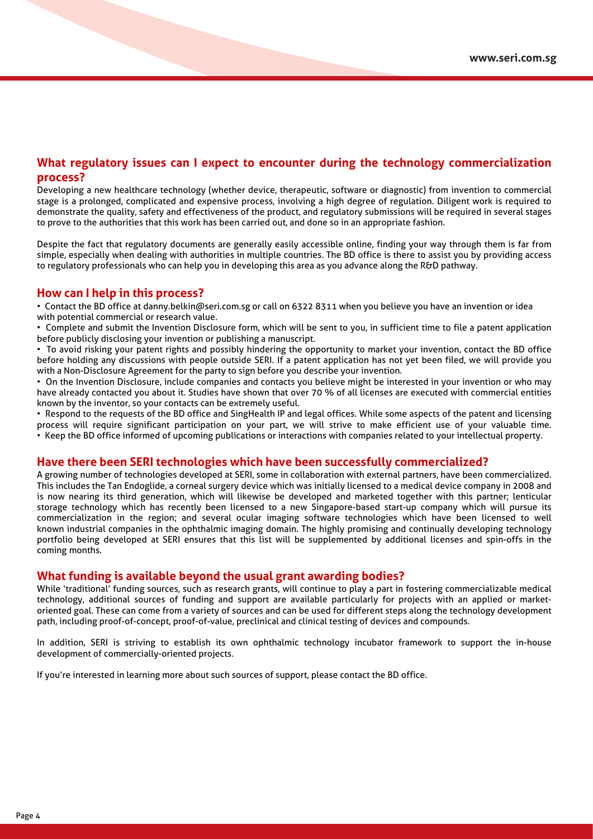#### **What regulatory issues can I expect to encounter during the technology commercialization process?**

Developing a new healthcare technology (whether device, therapeutic, software or diagnostic) from invention to commercial stage is a prolonged, complicated and expensive process, involving a high degree of regulation. Diligent work is required to demonstrate the quality, safety and effectiveness of the product, and regulatory submissions will be required in several stages to prove to the authorities that this work has been carried out, and done so in an appropriate fashion.

Despite the fact that regulatory documents are generally easily accessible online, finding your way through them is far from simple, especially when dealing with authorities in multiple countries. The BD office is there to assist you by providing access to regulatory professionals who can help you in developing this area as you advance along the R&D pathway.

#### **How can I help in this process?**

• Contact the BD office at danny.belkin@seri.com.sg or call on 6322 8311 when you believe you have an invention or idea with potential commercial or research value.

• Complete and submit the Invention Disclosure form, which will be sent to you, in sufficient time to file a patent application before publicly disclosing your invention or publishing a manuscript.

• To avoid risking your patent rights and possibly hindering the opportunity to market your invention, contact the BD office before holding any discussions with people outside SERI. If a patent application has not yet been filed, we will provide you with a Non-Disclosure Agreement for the party to sign before you describe your invention.

• On the Invention Disclosure, include companies and contacts you believe might be interested in your invention or who may have already contacted you about it. Studies have shown that over 70 % of all licenses are executed with commercial entities known by the inventor, so your contacts can be extremely useful.

• Respond to the requests of the BD office and SingHealth IP and legal offices. While some aspects of the patent and licensing process will require significant participation on your part, we will strive to make efficient use of your valuable time. • Keep the BD office informed of upcoming publications or interactions with companies related to your intellectual property.

#### **Have there been SERI technologies which have been successfully commercialized?**

A growing number of technologies developed at SERI, some in collaboration with external partners, have been commercialized. This includes the Tan Endoglide, a corneal surgery device which was initially licensed to a medical device company in 2008 and is now nearing its third generation, which will likewise be developed and marketed together with this partner; lenticular storage technology which has recently been licensed to a new Singapore-based start-up company which will pursue its commercialization in the region; and several ocular imaging software technologies which have been licensed to well known industrial companies in the ophthalmic imaging domain. The highly promising and continually developing technology portfolio being developed at SERI ensures that this list will be supplemented by additional licenses and spin-offs in the coming months.

#### **What funding is available beyond the usual grant awarding bodies?**

While 'traditional' funding sources, such as research grants, will continue to play a part in fostering commercializable medical technology, additional sources of funding and support are available particularly for projects with an applied or marketoriented goal. These can come from a variety of sources and can be used for different steps along the technology development path, including proof-of-concept, proof-of-value, preclinical and clinical testing of devices and compounds.

In addition, SERI is striving to establish its own ophthalmic technology incubator framework to support the in-house development of commercially-oriented projects.

If you're interested in learning more about such sources of support, please contact the BD office.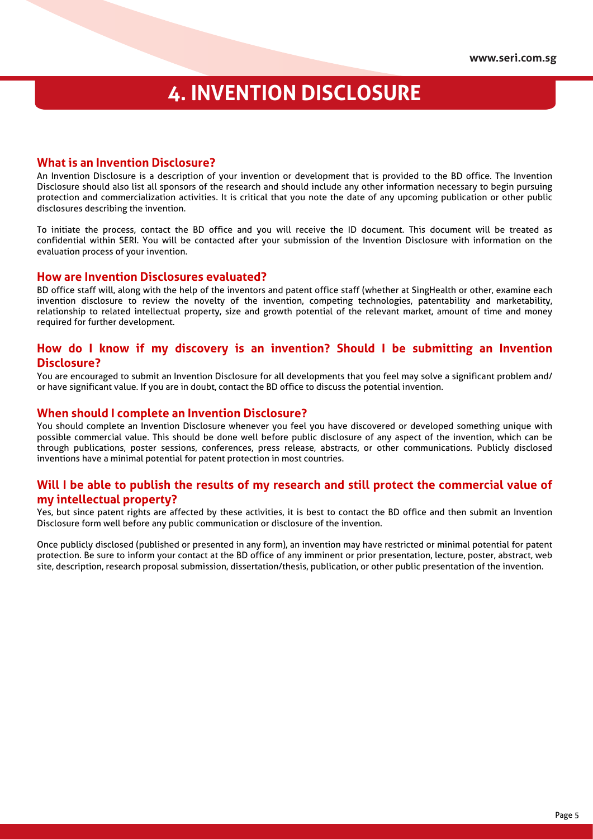### **4. INVENTION DISCLOSURE**

#### **What is an Invention Disclosure?**

An Invention Disclosure is a description of your invention or development that is provided to the BD office. The Invention Disclosure should also list all sponsors of the research and should include any other information necessary to begin pursuing protection and commercialization activities. It is critical that you note the date of any upcoming publication or other public disclosures describing the invention.

To initiate the process, contact the BD office and you will receive the ID document. This document will be treated as confidential within SERI. You will be contacted after your submission of the Invention Disclosure with information on the evaluation process of your invention.

#### **How are Invention Disclosures evaluated?**

BD office staff will, along with the help of the inventors and patent office staff (whether at SingHealth or other, examine each invention disclosure to review the novelty of the invention, competing technologies, patentability and marketability, relationship to related intellectual property, size and growth potential of the relevant market, amount of time and money required for further development.

#### **How do I know if my discovery is an invention? Should I be submitting an Invention Disclosure?**

You are encouraged to submit an Invention Disclosure for all developments that you feel may solve a significant problem and/ or have significant value. If you are in doubt, contact the BD office to discuss the potential invention.

#### **When should I complete an Invention Disclosure?**

You should complete an Invention Disclosure whenever you feel you have discovered or developed something unique with possible commercial value. This should be done well before public disclosure of any aspect of the invention, which can be through publications, poster sessions, conferences, press release, abstracts, or other communications. Publicly disclosed inventions have a minimal potential for patent protection in most countries.

#### **Will I be able to publish the results of my research and still protect the commercial value of my intellectual property?**

Yes, but since patent rights are affected by these activities, it is best to contact the BD office and then submit an Invention Disclosure form well before any public communication or disclosure of the invention.

Once publicly disclosed (published or presented in any form), an invention may have restricted or minimal potential for patent protection. Be sure to inform your contact at the BD office of any imminent or prior presentation, lecture, poster, abstract, web site, description, research proposal submission, dissertation/thesis, publication, or other public presentation of the invention.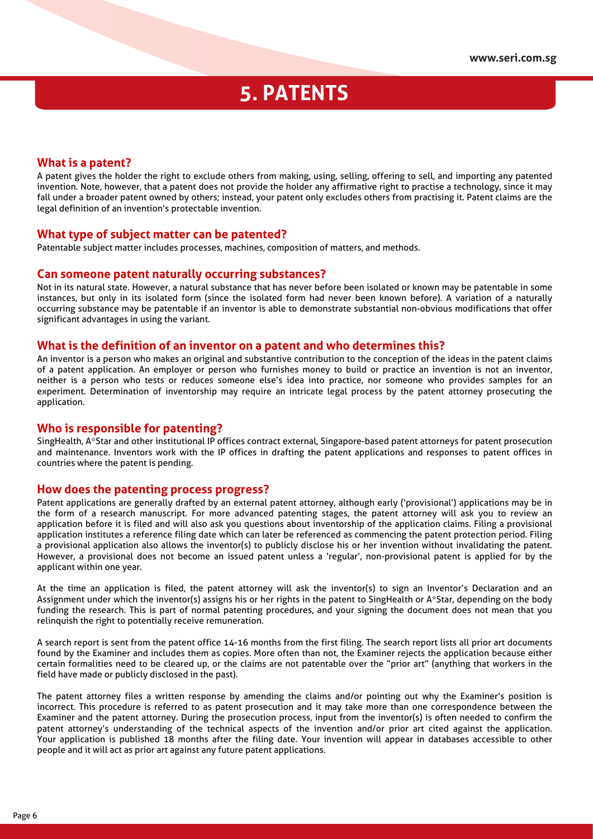### **5. PATENTS**

#### **What is a patent?**

A patent gives the holder the right to exclude others from making, using, selling, offering to sell, and importing any patented invention. Note, however, that a patent does not provide the holder any affirmative right to practise a technology, since it may fall under a broader patent owned by others; instead, your patent only excludes others from practising it. Patent claims are the legal definition of an invention's protectable invention.

#### **What type of subject matter can be patented?**

Patentable subject matter includes processes, machines, composition of matters, and methods.

#### **Can someone patent naturally occurring substances?**

Not in its natural state. However, a natural substance that has never before been isolated or known may be patentable in some instances, but only in its isolated form (since the isolated form had never been known before). A variation of a naturally occurring substance may be patentable if an inventor is able to demonstrate substantial non-obvious modifications that offer significant advantages in using the variant.

#### **What is the definition of an inventor on a patent and who determines this?**

An inventor is a person who makes an original and substantive contribution to the conception of the ideas in the patent claims of a patent application. An employer or person who furnishes money to build or practice an invention is not an inventor, neither is a person who tests or reduces someone else's idea into practice, nor someone who provides samples for an experiment. Determination of inventorship may require an intricate legal process by the patent attorney prosecuting the application.

#### **Who is responsible for patenting?**

SingHealth, A\*Star and other institutional IP offices contract external, Singapore-based patent attorneys for patent prosecution and maintenance. Inventors work with the IP offices in drafting the patent applications and responses to patent offices in countries where the patent is pending.

#### **How does the patenting process progress?**

Patent applications are generally drafted by an external patent attorney, although early ('provisional') applications may be in the form of a research manuscript. For more advanced patenting stages, the patent attorney will ask you to review an application before it is filed and will also ask you questions about inventorship of the application claims. Filing a provisional application institutes a reference filing date which can later be referenced as commencing the patent protection period. Filing a provisional application also allows the inventor(s) to publicly disclose his or her invention without invalidating the patent. However, a provisional does not become an issued patent unless a 'regular', non-provisional patent is applied for by the applicant within one year.

At the time an application is filed, the patent attorney will ask the inventor(s) to sign an Inventor's Declaration and an Assignment under which the inventor(s) assigns his or her rights in the patent to SingHealth or A\*Star, depending on the body funding the research. This is part of normal patenting procedures, and your signing the document does not mean that you relinquish the right to potentially receive remuneration.

A search report is sent from the patent office 14-16 months from the first filing. The search report lists all prior art documents found by the Examiner and includes them as copies. More often than not, the Examiner rejects the application because either certain formalities need to be cleared up, or the claims are not patentable over the "prior art" (anything that workers in the field have made or publicly disclosed in the past).

The patent attorney files a written response by amending the claims and/or pointing out why the Examiner's position is incorrect. This procedure is referred to as patent prosecution and it may take more than one correspondence between the Examiner and the patent attorney. During the prosecution process, input from the inventor(s) is often needed to confirm the patent attorney's understanding of the technical aspects of the invention and/or prior art cited against the application. Your application is published 18 months after the filing date. Your invention will appear in databases accessible to other people and it will act as prior art against any future patent applications.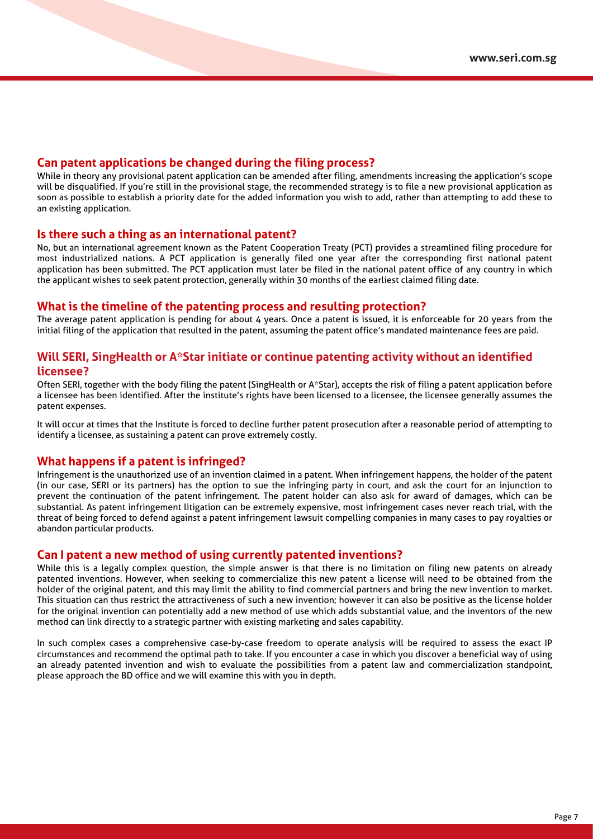#### **Can patent applications be changed during the filing process?**

While in theory any provisional patent application can be amended after filing, amendments increasing the application's scope will be disqualified. If you're still in the provisional stage, the recommended strategy is to file a new provisional application as soon as possible to establish a priority date for the added information you wish to add, rather than attempting to add these to an existing application.

#### **Is there such a thing as an international patent?**

No, but an international agreement known as the Patent Cooperation Treaty (PCT) provides a streamlined filing procedure for most industrialized nations. A PCT application is generally filed one year after the corresponding first national patent application has been submitted. The PCT application must later be filed in the national patent office of any country in which the applicant wishes to seek patent protection, generally within 30 months of the earliest claimed filing date.

#### **What is the timeline of the patenting process and resulting protection?**

The average patent application is pending for about 4 years. Once a patent is issued, it is enforceable for 20 years from the initial filing of the application that resulted in the patent, assuming the patent office's mandated maintenance fees are paid.

#### **Will SERI, SingHealth or A\*Star initiate or continue patenting activity without an identified licensee?**

Often SERI, together with the body filing the patent (SingHealth or A\*Star), accepts the risk of filing a patent application before a licensee has been identified. After the institute's rights have been licensed to a licensee, the licensee generally assumes the patent expenses.

It will occur at times that the Institute is forced to decline further patent prosecution after a reasonable period of attempting to identify a licensee, as sustaining a patent can prove extremely costly.

#### **What happens if a patent is infringed?**

Infringement is the unauthorized use of an invention claimed in a patent. When infringement happens, the holder of the patent (in our case, SERI or its partners) has the option to sue the infringing party in court, and ask the court for an injunction to prevent the continuation of the patent infringement. The patent holder can also ask for award of damages, which can be substantial. As patent infringement litigation can be extremely expensive, most infringement cases never reach trial, with the threat of being forced to defend against a patent infringement lawsuit compelling companies in many cases to pay royalties or abandon particular products.

#### **Can I patent a new method of using currently patented inventions?**

While this is a legally complex question, the simple answer is that there is no limitation on filing new patents on already patented inventions. However, when seeking to commercialize this new patent a license will need to be obtained from the holder of the original patent, and this may limit the ability to find commercial partners and bring the new invention to market. This situation can thus restrict the attractiveness of such a new invention; however it can also be positive as the license holder for the original invention can potentially add a new method of use which adds substantial value, and the inventors of the new method can link directly to a strategic partner with existing marketing and sales capability.

In such complex cases a comprehensive case-by-case freedom to operate analysis will be required to assess the exact IP circumstances and recommend the optimal path to take. If you encounter a case in which you discover a beneficial way of using an already patented invention and wish to evaluate the possibilities from a patent law and commercialization standpoint, please approach the BD office and we will examine this with you in depth.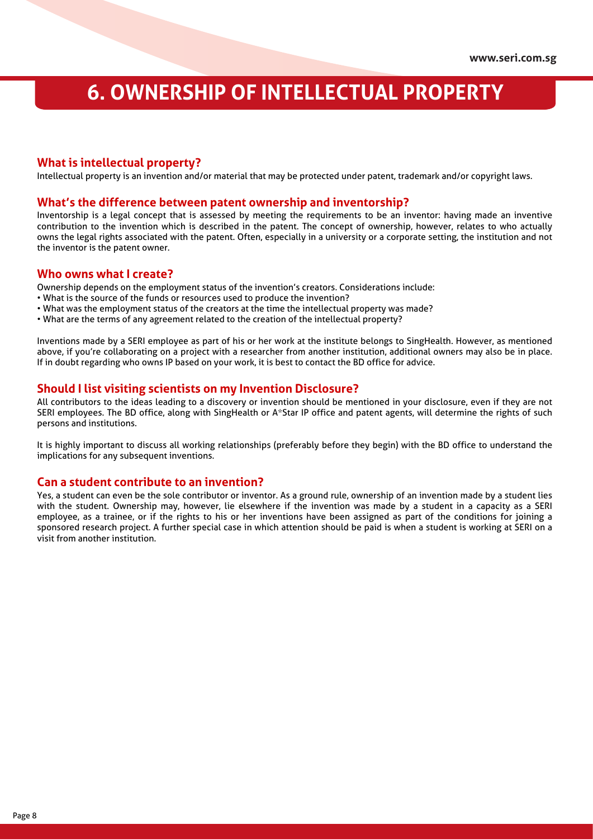## **6. OWNERSHIP OF INTELLECTUAL PROPERTY**

#### **What is intellectual property?**

Intellectual property is an invention and/or material that may be protected under patent, trademark and/or copyright laws.

#### **What's the difference between patent ownership and inventorship?**

Inventorship is a legal concept that is assessed by meeting the requirements to be an inventor: having made an inventive contribution to the invention which is described in the patent. The concept of ownership, however, relates to who actually owns the legal rights associated with the patent. Often, especially in a university or a corporate setting, the institution and not the inventor is the patent owner.

#### **Who owns what I create?**

Ownership depends on the employment status of the invention's creators. Considerations include:

- What is the source of the funds or resources used to produce the invention?
- What was the employment status of the creators at the time the intellectual property was made?
- What are the terms of any agreement related to the creation of the intellectual property?

Inventions made by a SERI employee as part of his or her work at the institute belongs to SingHealth. However, as mentioned above, if you're collaborating on a project with a researcher from another institution, additional owners may also be in place. If in doubt regarding who owns IP based on your work, it is best to contact the BD office for advice.

#### **Should I list visiting scientists on my Invention Disclosure?**

All contributors to the ideas leading to a discovery or invention should be mentioned in your disclosure, even if they are not SERI employees. The BD office, along with SingHealth or A\*Star IP office and patent agents, will determine the rights of such persons and institutions.

It is highly important to discuss all working relationships (preferably before they begin) with the BD office to understand the implications for any subsequent inventions.

#### **Can a student contribute to an invention?**

Yes, a student can even be the sole contributor or inventor. As a ground rule, ownership of an invention made by a student lies with the student. Ownership may, however, lie elsewhere if the invention was made by a student in a capacity as a SERI employee, as a trainee, or if the rights to his or her inventions have been assigned as part of the conditions for joining a sponsored research project. A further special case in which attention should be paid is when a student is working at SERI on a visit from another institution.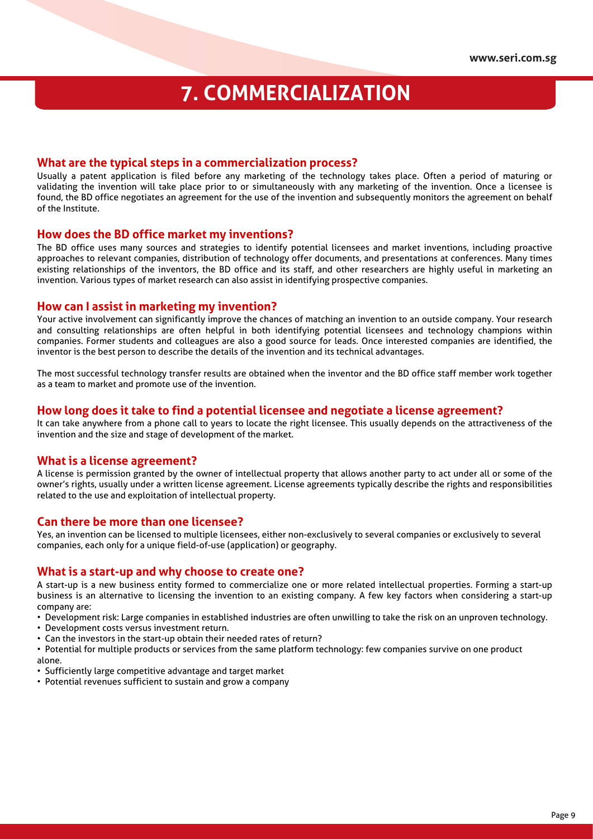## **7. COMMERCIALIZATION**

#### **What are the typical steps in a commercialization process?**

Usually a patent application is filed before any marketing of the technology takes place. Often a period of maturing or validating the invention will take place prior to or simultaneously with any marketing of the invention. Once a licensee is found, the BD office negotiates an agreement for the use of the invention and subsequently monitors the agreement on behalf of the Institute.

#### **How does the BD office market my inventions?**

The BD office uses many sources and strategies to identify potential licensees and market inventions, including proactive approaches to relevant companies, distribution of technology offer documents, and presentations at conferences. Many times existing relationships of the inventors, the BD office and its staff, and other researchers are highly useful in marketing an invention. Various types of market research can also assist in identifying prospective companies.

#### **How can I assist in marketing my invention?**

Your active involvement can significantly improve the chances of matching an invention to an outside company. Your research and consulting relationships are often helpful in both identifying potential licensees and technology champions within companies. Former students and colleagues are also a good source for leads. Once interested companies are identified, the inventor is the best person to describe the details of the invention and its technical advantages.

The most successful technology transfer results are obtained when the inventor and the BD office staff member work together as a team to market and promote use of the invention.

#### **How long does it take to find a potential licensee and negotiate a license agreement?**

It can take anywhere from a phone call to years to locate the right licensee. This usually depends on the attractiveness of the invention and the size and stage of development of the market.

#### **What is a license agreement?**

A license is permission granted by the owner of intellectual property that allows another party to act under all or some of the owner's rights, usually under a written license agreement. License agreements typically describe the rights and responsibilities related to the use and exploitation of intellectual property.

#### **Can there be more than one licensee?**

Yes, an invention can be licensed to multiple licensees, either non-exclusively to several companies or exclusively to several companies, each only for a unique field-of-use (application) or geography.

#### **What is a start-up and why choose to create one?**

A start-up is a new business entity formed to commercialize one or more related intellectual properties. Forming a start-up business is an alternative to licensing the invention to an existing company. A few key factors when considering a start-up company are:

- Development risk: Large companies in established industries are often unwilling to take the risk on an unproven technology.
- Development costs versus investment return.
- Can the investors in the start-up obtain their needed rates of return?

• Potential for multiple products or services from the same platform technology: few companies survive on one product alone.

- Sufficiently large competitive advantage and target market
- Potential revenues sufficient to sustain and grow a company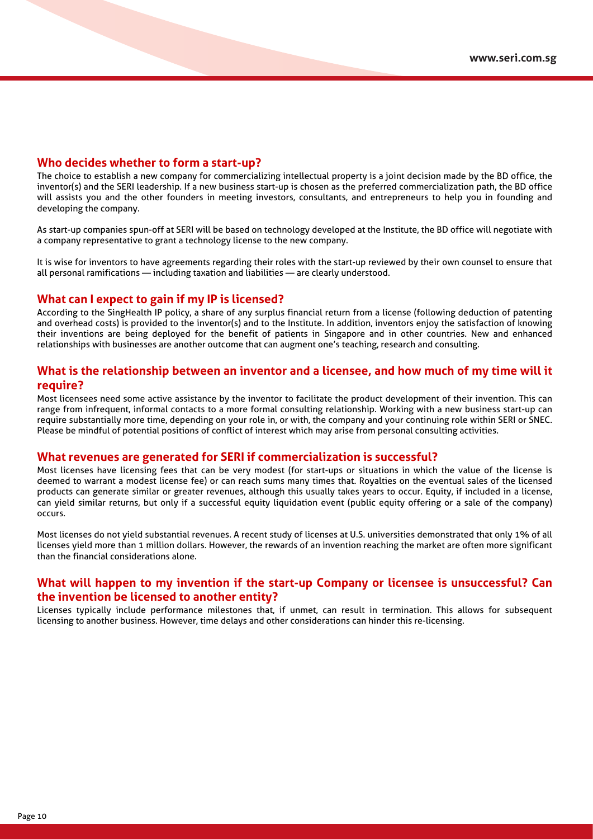#### **Who decides whether to form a start-up?**

The choice to establish a new company for commercializing intellectual property is a joint decision made by the BD office, the inventor(s) and the SERI leadership. If a new business start-up is chosen as the preferred commercialization path, the BD office will assists you and the other founders in meeting investors, consultants, and entrepreneurs to help you in founding and developing the company.

As start-up companies spun-off at SERI will be based on technology developed at the Institute, the BD office will negotiate with a company representative to grant a technology license to the new company.

It is wise for inventors to have agreements regarding their roles with the start-up reviewed by their own counsel to ensure that all personal ramifications — including taxation and liabilities — are clearly understood.

#### **What can I expect to gain if my IP is licensed?**

According to the SingHealth IP policy, a share of any surplus financial return from a license (following deduction of patenting and overhead costs) is provided to the inventor(s) and to the Institute. In addition, inventors enjoy the satisfaction of knowing their inventions are being deployed for the benefit of patients in Singapore and in other countries. New and enhanced relationships with businesses are another outcome that can augment one's teaching, research and consulting.

#### **What is the relationship between an inventor and a licensee, and how much of my time will it require?**

Most licensees need some active assistance by the inventor to facilitate the product development of their invention. This can range from infrequent, informal contacts to a more formal consulting relationship. Working with a new business start-up can require substantially more time, depending on your role in, or with, the company and your continuing role within SERI or SNEC. Please be mindful of potential positions of conflict of interest which may arise from personal consulting activities.

#### **What revenues are generated for SERI if commercialization is successful?**

Most licenses have licensing fees that can be very modest (for start-ups or situations in which the value of the license is deemed to warrant a modest license fee) or can reach sums many times that. Royalties on the eventual sales of the licensed products can generate similar or greater revenues, although this usually takes years to occur. Equity, if included in a license, can yield similar returns, but only if a successful equity liquidation event (public equity offering or a sale of the company) occurs.

Most licenses do not yield substantial revenues. A recent study of licenses at U.S. universities demonstrated that only 1% of all licenses yield more than 1 million dollars. However, the rewards of an invention reaching the market are often more significant than the financial considerations alone.

#### **What will happen to my invention if the start-up Company or licensee is unsuccessful? Can the invention be licensed to another entity?**

Licenses typically include performance milestones that, if unmet, can result in termination. This allows for subsequent licensing to another business. However, time delays and other considerations can hinder this re-licensing.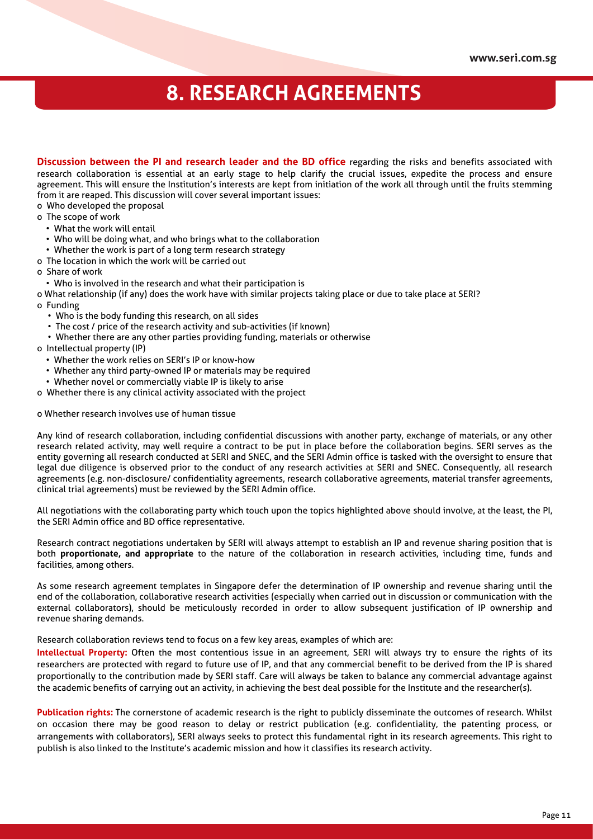### **8. RESEARCH AGREEMENTS**

**Discussion between the PI and research leader and the BD office** regarding the risks and benefits associated with research collaboration is essential at an early stage to help clarify the crucial issues, expedite the process and ensure agreement. This will ensure the Institution's interests are kept from initiation of the work all through until the fruits stemming from it are reaped. This discussion will cover several important issues:

o Who developed the proposal

- o The scope of work
	- What the work will entail
	- Who will be doing what, and who brings what to the collaboration
	- Whether the work is part of a long term research strategy
- o The location in which the work will be carried out
- o Share of work
	- Who is involved in the research and what their participation is

o What relationship (if any) does the work have with similar projects taking place or due to take place at SERI?

- o Funding
	- Who is the body funding this research, on all sides
	- The cost / price of the research activity and sub-activities (if known)
	- Whether there are any other parties providing funding, materials or otherwise
- o Intellectual property (IP)
	- Whether the work relies on SERI's IP or know-how
	- Whether any third party-owned IP or materials may be required
	- Whether novel or commercially viable IP is likely to arise
- o Whether there is any clinical activity associated with the project

o Whether research involves use of human tissue

Any kind of research collaboration, including confidential discussions with another party, exchange of materials, or any other research related activity, may well require a contract to be put in place before the collaboration begins. SERI serves as the entity governing all research conducted at SERI and SNEC, and the SERI Admin office is tasked with the oversight to ensure that legal due diligence is observed prior to the conduct of any research activities at SERI and SNEC. Consequently, all research agreements (e.g. non-disclosure/ confidentiality agreements, research collaborative agreements, material transfer agreements, clinical trial agreements) must be reviewed by the SERI Admin office.

All negotiations with the collaborating party which touch upon the topics highlighted above should involve, at the least, the PI, the SERI Admin office and BD office representative.

Research contract negotiations undertaken by SERI will always attempt to establish an IP and revenue sharing position that is both **proportionate, and appropriate** to the nature of the collaboration in research activities, including time, funds and facilities, among others.

As some research agreement templates in Singapore defer the determination of IP ownership and revenue sharing until the end of the collaboration, collaborative research activities (especially when carried out in discussion or communication with the external collaborators), should be meticulously recorded in order to allow subsequent justification of IP ownership and revenue sharing demands.

Research collaboration reviews tend to focus on a few key areas, examples of which are:

**Intellectual Property:** Often the most contentious issue in an agreement, SERI will always try to ensure the rights of its researchers are protected with regard to future use of IP, and that any commercial benefit to be derived from the IP is shared proportionally to the contribution made by SERI staff. Care will always be taken to balance any commercial advantage against the academic benefits of carrying out an activity, in achieving the best deal possible for the Institute and the researcher(s).

**Publication rights:** The cornerstone of academic research is the right to publicly disseminate the outcomes of research. Whilst on occasion there may be good reason to delay or restrict publication (e.g. confidentiality, the patenting process, or arrangements with collaborators), SERI always seeks to protect this fundamental right in its research agreements. This right to publish is also linked to the Institute's academic mission and how it classifies its research activity.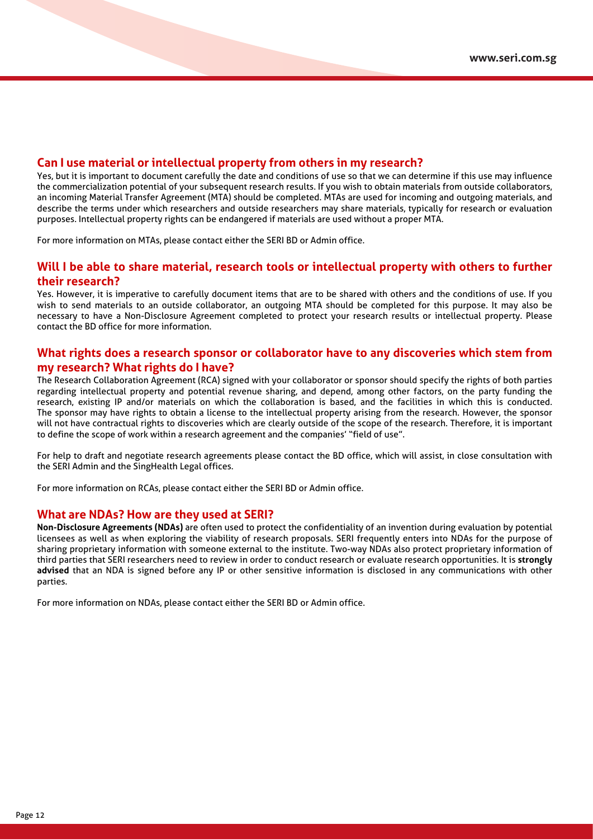#### **Can I use material or intellectual property from others in my research?**

Yes, but it is important to document carefully the date and conditions of use so that we can determine if this use may influence the commercialization potential of your subsequent research results. If you wish to obtain materials from outside collaborators, an incoming Material Transfer Agreement (MTA) should be completed. MTAs are used for incoming and outgoing materials, and describe the terms under which researchers and outside researchers may share materials, typically for research or evaluation purposes. Intellectual property rights can be endangered if materials are used without a proper MTA.

For more information on MTAs, please contact either the SERI BD or Admin office.

#### **Will I be able to share material, research tools or intellectual property with others to further their research?**

Yes. However, it is imperative to carefully document items that are to be shared with others and the conditions of use. If you wish to send materials to an outside collaborator, an outgoing MTA should be completed for this purpose. It may also be necessary to have a Non-Disclosure Agreement completed to protect your research results or intellectual property. Please contact the BD office for more information.

#### **What rights does a research sponsor or collaborator have to any discoveries which stem from my research? What rights do I have?**

The Research Collaboration Agreement (RCA) signed with your collaborator or sponsor should specify the rights of both parties regarding intellectual property and potential revenue sharing, and depend, among other factors, on the party funding the research, existing IP and/or materials on which the collaboration is based, and the facilities in which this is conducted. The sponsor may have rights to obtain a license to the intellectual property arising from the research. However, the sponsor will not have contractual rights to discoveries which are clearly outside of the scope of the research. Therefore, it is important to define the scope of work within a research agreement and the companies' "field of use".

For help to draft and negotiate research agreements please contact the BD office, which will assist, in close consultation with the SERI Admin and the SingHealth Legal offices.

For more information on RCAs, please contact either the SERI BD or Admin office.

#### **What are NDAs? How are they used at SERI?**

**Non-Disclosure Agreements (NDAs)** are often used to protect the confidentiality of an invention during evaluation by potential licensees as well as when exploring the viability of research proposals. SERI frequently enters into NDAs for the purpose of sharing proprietary information with someone external to the institute. Two-way NDAs also protect proprietary information of third parties that SERI researchers need to review in order to conduct research or evaluate research opportunities. It is **strongly advised** that an NDA is signed before any IP or other sensitive information is disclosed in any communications with other parties.

For more information on NDAs, please contact either the SERI BD or Admin office.